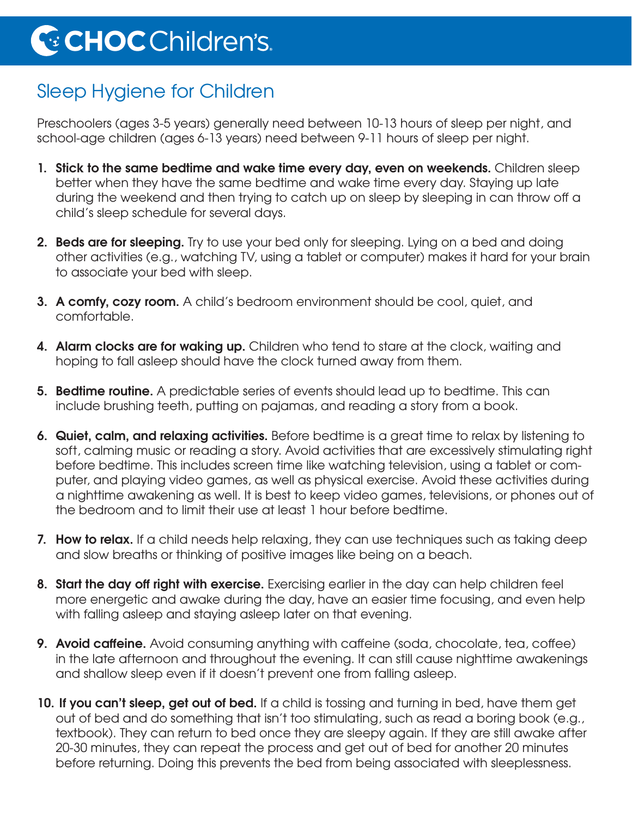## Sleep Hygiene for Children

Preschoolers (ages 3-5 years) generally need between 10-13 hours of sleep per night, and school-age children (ages 6-13 years) need between 9-11 hours of sleep per night.

- **1. Stick to the same bedtime and wake time every day, even on weekends.** Children sleep better when they have the same bedtime and wake time every day. Staying up late during the weekend and then trying to catch up on sleep by sleeping in can throw off a child's sleep schedule for several days.
- **2. Beds are for sleeping.** Try to use your bed only for sleeping. Lying on a bed and doing other activities (e.g., watching TV, using a tablet or computer) makes it hard for your brain to associate your bed with sleep.
- **3. A comfy, cozy room.** A child's bedroom environment should be cool, quiet, and comfortable.
- **4. Alarm clocks are for waking up.** Children who tend to stare at the clock, waiting and hoping to fall asleep should have the clock turned away from them.
- **5. Bedtime routine.** A predictable series of events should lead up to bedtime. This can include brushing teeth, putting on pajamas, and reading a story from a book.
- **6. Quiet, calm, and relaxing activities.** Before bedtime is a great time to relax by listening to soft, calming music or reading a story. Avoid activities that are excessively stimulating right before bedtime. This includes screen time like watching television, using a tablet or computer, and playing video games, as well as physical exercise. Avoid these activities during a nighttime awakening as well. It is best to keep video games, televisions, or phones out of the bedroom and to limit their use at least 1 hour before bedtime.
- **7. How to relax.** If a child needs help relaxing, they can use techniques such as taking deep and slow breaths or thinking of positive images like being on a beach.
- **8. Start the day off right with exercise.** Exercising earlier in the day can help children feel more energetic and awake during the day, have an easier time focusing, and even help with falling asleep and staying asleep later on that evening.
- **9. Avoid caffeine.** Avoid consuming anything with caffeine (soda, chocolate, tea, coffee) in the late afternoon and throughout the evening. It can still cause nighttime awakenings and shallow sleep even if it doesn't prevent one from falling asleep.
- **10. If you can't sleep, get out of bed.** If a child is tossing and turning in bed, have them get out of bed and do something that isn't too stimulating, such as read a boring book (e.g., textbook). They can return to bed once they are sleepy again. If they are still awake after 20-30 minutes, they can repeat the process and get out of bed for another 20 minutes before returning. Doing this prevents the bed from being associated with sleeplessness.